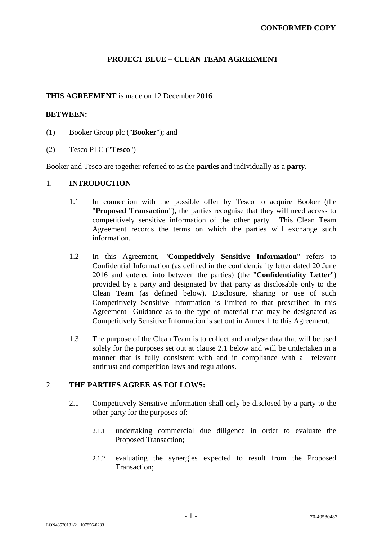# **PROJECT BLUE – CLEAN TEAM AGREEMENT**

### **THIS AGREEMENT** is made on 12 December 2016

### **BETWEEN:**

- (1) Booker Group plc ("**Booker**"); and
- (2) Tesco PLC ("**Tesco**")

Booker and Tesco are together referred to as the **parties** and individually as a **party**.

### 1. **INTRODUCTION**

- 1.1 In connection with the possible offer by Tesco to acquire Booker (the "**Proposed Transaction**"), the parties recognise that they will need access to competitively sensitive information of the other party. This Clean Team Agreement records the terms on which the parties will exchange such information.
- 1.2 In this Agreement, "**Competitively Sensitive Information**" refers to Confidential Information (as defined in the confidentiality letter dated 20 June 2016 and entered into between the parties) (the "**Confidentiality Letter**") provided by a party and designated by that party as disclosable only to the Clean Team (as defined below). Disclosure, sharing or use of such Competitively Sensitive Information is limited to that prescribed in this Agreement Guidance as to the type of material that may be designated as Competitively Sensitive Information is set out in Annex 1 to this Agreement.
- 1.3 The purpose of the Clean Team is to collect and analyse data that will be used solely for the purposes set out at clause 2.1 below and will be undertaken in a manner that is fully consistent with and in compliance with all relevant antitrust and competition laws and regulations.

# 2. **THE PARTIES AGREE AS FOLLOWS:**

- 2.1 Competitively Sensitive Information shall only be disclosed by a party to the other party for the purposes of:
	- 2.1.1 undertaking commercial due diligence in order to evaluate the Proposed Transaction;
	- 2.1.2 evaluating the synergies expected to result from the Proposed Transaction;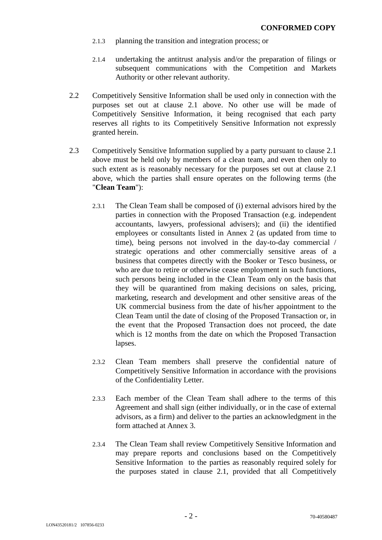- 2.1.3 planning the transition and integration process; or
- 2.1.4 undertaking the antitrust analysis and/or the preparation of filings or subsequent communications with the Competition and Markets Authority or other relevant authority.
- 2.2 Competitively Sensitive Information shall be used only in connection with the purposes set out at clause 2.1 above. No other use will be made of Competitively Sensitive Information, it being recognised that each party reserves all rights to its Competitively Sensitive Information not expressly granted herein.
- 2.3 Competitively Sensitive Information supplied by a party pursuant to clause 2.1 above must be held only by members of a clean team, and even then only to such extent as is reasonably necessary for the purposes set out at clause 2.1 above, which the parties shall ensure operates on the following terms (the "**Clean Team**"):
	- 2.3.1 The Clean Team shall be composed of (i) external advisors hired by the parties in connection with the Proposed Transaction (e.g. independent accountants, lawyers, professional advisers); and (ii) the identified employees or consultants listed in Annex 2 (as updated from time to time), being persons not involved in the day-to-day commercial / strategic operations and other commercially sensitive areas of a business that competes directly with the Booker or Tesco business, or who are due to retire or otherwise cease employment in such functions, such persons being included in the Clean Team only on the basis that they will be quarantined from making decisions on sales, pricing, marketing, research and development and other sensitive areas of the UK commercial business from the date of his/her appointment to the Clean Team until the date of closing of the Proposed Transaction or, in the event that the Proposed Transaction does not proceed, the date which is 12 months from the date on which the Proposed Transaction lapses.
	- 2.3.2 Clean Team members shall preserve the confidential nature of Competitively Sensitive Information in accordance with the provisions of the Confidentiality Letter.
	- 2.3.3 Each member of the Clean Team shall adhere to the terms of this Agreement and shall sign (either individually, or in the case of external advisors, as a firm) and deliver to the parties an acknowledgment in the form attached at Annex 3.
	- 2.3.4 The Clean Team shall review Competitively Sensitive Information and may prepare reports and conclusions based on the Competitively Sensitive Information to the parties as reasonably required solely for the purposes stated in clause 2.1, provided that all Competitively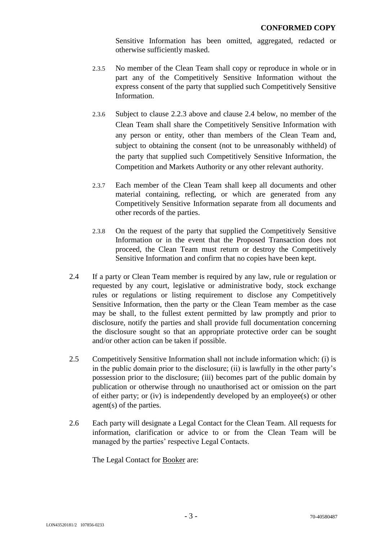Sensitive Information has been omitted, aggregated, redacted or otherwise sufficiently masked.

- 2.3.5 No member of the Clean Team shall copy or reproduce in whole or in part any of the Competitively Sensitive Information without the express consent of the party that supplied such Competitively Sensitive Information.
- 2.3.6 Subject to clause 2.2.3 above and clause 2.4 below, no member of the Clean Team shall share the Competitively Sensitive Information with any person or entity, other than members of the Clean Team and, subject to obtaining the consent (not to be unreasonably withheld) of the party that supplied such Competitively Sensitive Information, the Competition and Markets Authority or any other relevant authority.
- 2.3.7 Each member of the Clean Team shall keep all documents and other material containing, reflecting, or which are generated from any Competitively Sensitive Information separate from all documents and other records of the parties.
- 2.3.8 On the request of the party that supplied the Competitively Sensitive Information or in the event that the Proposed Transaction does not proceed, the Clean Team must return or destroy the Competitively Sensitive Information and confirm that no copies have been kept.
- 2.4 If a party or Clean Team member is required by any law, rule or regulation or requested by any court, legislative or administrative body, stock exchange rules or regulations or listing requirement to disclose any Competitively Sensitive Information, then the party or the Clean Team member as the case may be shall, to the fullest extent permitted by law promptly and prior to disclosure, notify the parties and shall provide full documentation concerning the disclosure sought so that an appropriate protective order can be sought and/or other action can be taken if possible.
- 2.5 Competitively Sensitive Information shall not include information which: (i) is in the public domain prior to the disclosure; (ii) is lawfully in the other party's possession prior to the disclosure; (iii) becomes part of the public domain by publication or otherwise through no unauthorised act or omission on the part of either party; or (iv) is independently developed by an employee(s) or other agent(s) of the parties.
- 2.6 Each party will designate a Legal Contact for the Clean Team. All requests for information, clarification or advice to or from the Clean Team will be managed by the parties' respective Legal Contacts.

The Legal Contact for Booker are: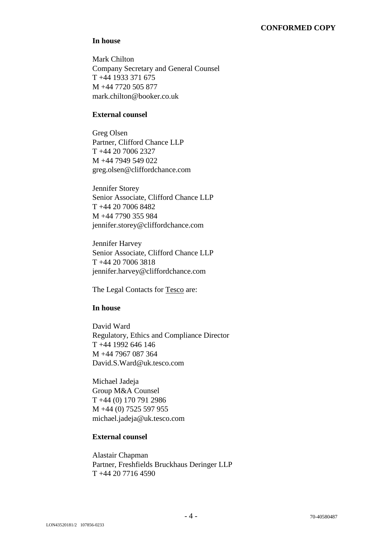### **CONFORMED COPY**

### **In house**

Mark Chilton Company Secretary and General Counsel T +44 1933 371 675 M +44 7720 505 877 mark.chilton@booker.co.uk

# **External counsel**

Greg Olsen Partner, Clifford Chance LLP T +44 20 7006 2327  $M +447949549022$ greg.olsen@cliffordchance.com

Jennifer Storey Senior Associate, Clifford Chance LLP T +44 20 7006 8482 M +44 7790 355 984 jennifer.storey@cliffordchance.com

Jennifer Harvey Senior Associate, Clifford Chance LLP T +44 20 7006 3818 jennifer.harvey@cliffordchance.com

The Legal Contacts for Tesco are:

# **In house**

David Ward Regulatory, Ethics and Compliance Director T +44 1992 646 146 M +44 7967 087 364 David.S.Ward@uk.tesco.com

Michael Jadeja Group M&A Counsel T +44 (0) 170 791 2986 M +44 (0) 7525 597 955 michael.jadeja@uk.tesco.com

### **External counsel**

Alastair Chapman Partner, Freshfields Bruckhaus Deringer LLP T +44 20 7716 4590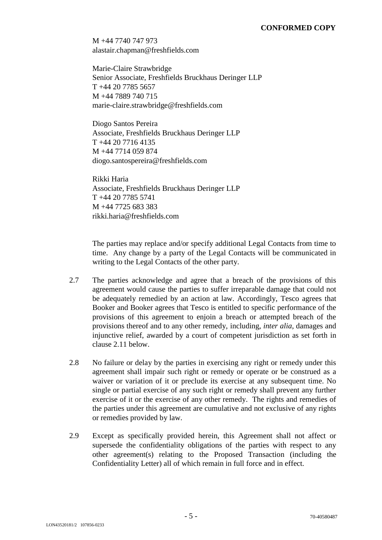M +44 7740 747 973 alastair.chapman@freshfields.com

Marie-Claire Strawbridge Senior Associate, Freshfields Bruckhaus Deringer LLP T +44 20 7785 5657 M +44 7889 740 715 marie-claire.strawbridge@freshfields.com

Diogo Santos Pereira Associate, Freshfields Bruckhaus Deringer LLP T +44 20 7716 4135 M +44 7714 059 874 diogo.santospereira@freshfields.com

Rikki Haria Associate, Freshfields Bruckhaus Deringer LLP T +44 20 7785 5741 M +44 7725 683 383 rikki.haria@freshfields.com

The parties may replace and/or specify additional Legal Contacts from time to time. Any change by a party of the Legal Contacts will be communicated in writing to the Legal Contacts of the other party.

- 2.7 The parties acknowledge and agree that a breach of the provisions of this agreement would cause the parties to suffer irreparable damage that could not be adequately remedied by an action at law. Accordingly, Tesco agrees that Booker and Booker agrees that Tesco is entitled to specific performance of the provisions of this agreement to enjoin a breach or attempted breach of the provisions thereof and to any other remedy, including, *inter alia*, damages and injunctive relief, awarded by a court of competent jurisdiction as set forth in clause 2.11 below.
- 2.8 No failure or delay by the parties in exercising any right or remedy under this agreement shall impair such right or remedy or operate or be construed as a waiver or variation of it or preclude its exercise at any subsequent time. No single or partial exercise of any such right or remedy shall prevent any further exercise of it or the exercise of any other remedy. The rights and remedies of the parties under this agreement are cumulative and not exclusive of any rights or remedies provided by law.
- 2.9 Except as specifically provided herein, this Agreement shall not affect or supersede the confidentiality obligations of the parties with respect to any other agreement(s) relating to the Proposed Transaction (including the Confidentiality Letter) all of which remain in full force and in effect.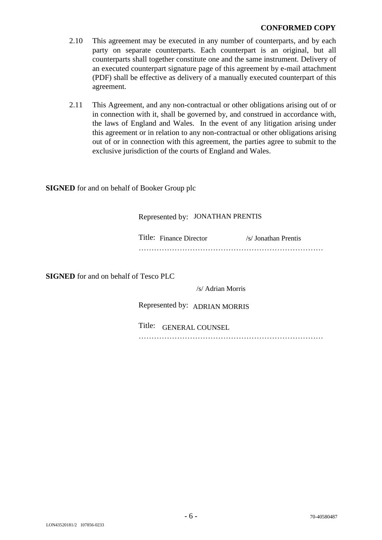### **CONFORMED COPY**

- 2.10 This agreement may be executed in any number of counterparts, and by each party on separate counterparts. Each counterpart is an original, but all counterparts shall together constitute one and the same instrument. Delivery of an executed counterpart signature page of this agreement by e-mail attachment (PDF) shall be effective as delivery of a manually executed counterpart of this agreement.
- 2.11 This Agreement, and any non-contractual or other obligations arising out of or in connection with it, shall be governed by, and construed in accordance with, the laws of England and Wales. In the event of any litigation arising under this agreement or in relation to any non-contractual or other obligations arising out of or in connection with this agreement, the parties agree to submit to the exclusive jurisdiction of the courts of England and Wales.

**SIGNED** for and on behalf of Booker Group plc

| Represented by: JONATHAN PRENTIS |  |                      |  |  |
|----------------------------------|--|----------------------|--|--|
| Title: Finance Director          |  | /s/ Jonathan Prentis |  |  |
|                                  |  |                      |  |  |

**SIGNED** for and on behalf of Tesco PLC

/s/ Adrian Morris

Represented by: ADRIAN MORRIS

Title: GENERAL COUNSEL

………………………………………………………………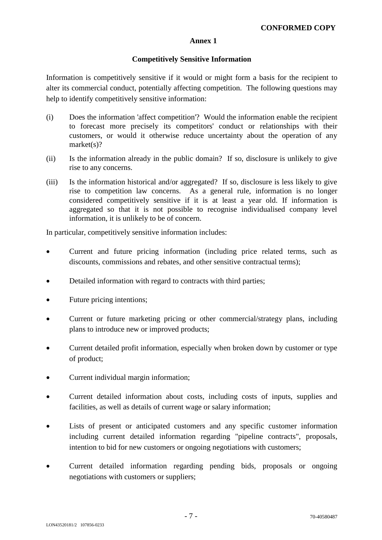# **Annex 1**

# **Competitively Sensitive Information**

Information is competitively sensitive if it would or might form a basis for the recipient to alter its commercial conduct, potentially affecting competition. The following questions may help to identify competitively sensitive information:

- (i) Does the information 'affect competition'? Would the information enable the recipient to forecast more precisely its competitors' conduct or relationships with their customers, or would it otherwise reduce uncertainty about the operation of any market(s)?
- (ii) Is the information already in the public domain? If so, disclosure is unlikely to give rise to any concerns.
- (iii) Is the information historical and/or aggregated? If so, disclosure is less likely to give rise to competition law concerns. As a general rule, information is no longer considered competitively sensitive if it is at least a year old. If information is aggregated so that it is not possible to recognise individualised company level information, it is unlikely to be of concern.

In particular, competitively sensitive information includes:

- Current and future pricing information (including price related terms, such as discounts, commissions and rebates, and other sensitive contractual terms);
- Detailed information with regard to contracts with third parties:
- Future pricing intentions;
- Current or future marketing pricing or other commercial/strategy plans, including plans to introduce new or improved products;
- Current detailed profit information, especially when broken down by customer or type of product;
- Current individual margin information:
- Current detailed information about costs, including costs of inputs, supplies and facilities, as well as details of current wage or salary information;
- Lists of present or anticipated customers and any specific customer information including current detailed information regarding "pipeline contracts", proposals, intention to bid for new customers or ongoing negotiations with customers;
- Current detailed information regarding pending bids, proposals or ongoing negotiations with customers or suppliers;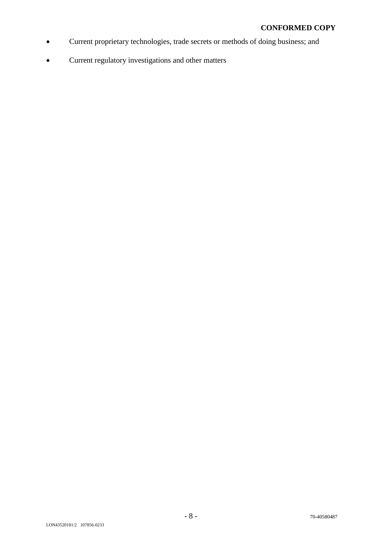- Current proprietary technologies, trade secrets or methods of doing business; and
- Current regulatory investigations and other matters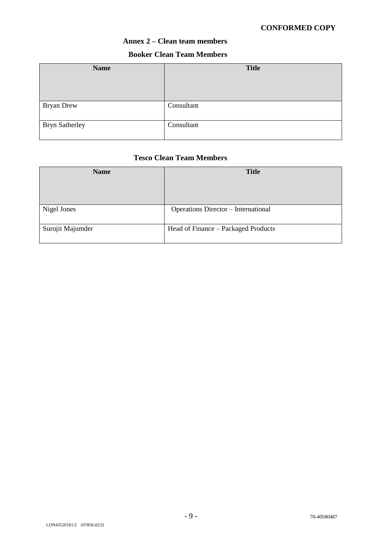# **CONFORMED COPY**

# **Annex 2 – Clean team members**

# **Booker Clean Team Members**

| <b>Name</b>           | <b>Title</b> |
|-----------------------|--------------|
| Bryan Drew            | Consultant   |
| <b>Bryn Satherley</b> | Consultant   |

### **Tesco Clean Team Members**

| <b>Name</b>      | <b>Title</b>                               |
|------------------|--------------------------------------------|
| Nigel Jones      | <b>Operations Director – International</b> |
| Surojit Majumder | Head of Finance - Packaged Products        |